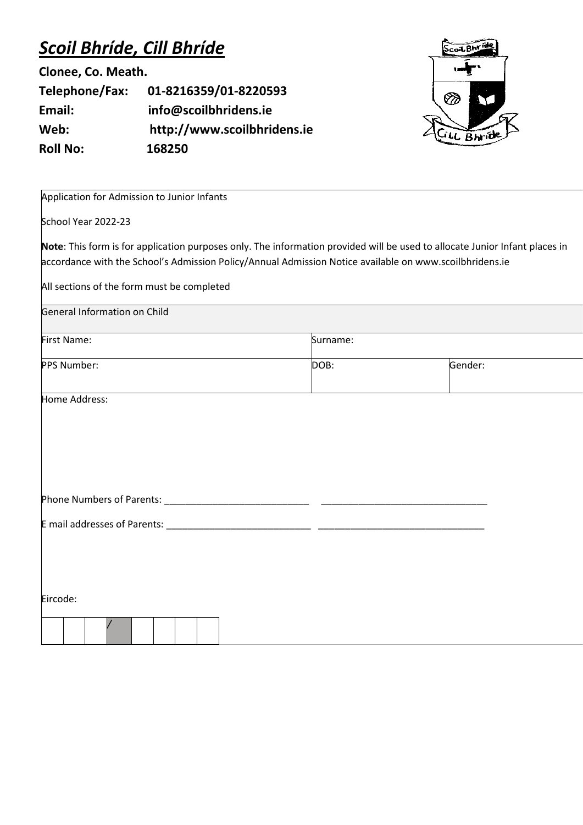## *Scoil Bhríde, Cill Bhríde*

**Clonee, Co. Meath. Telephone/Fax: 01-8216359/01-8220593 Email: info@scoilbhridens.ie Web: http://www.scoilbhridens.ie Roll No: 168250**



Application for Admission to Junior Infants

School Year 2022-23

**Note**: This form is for application purposes only. The information provided will be used to allocate Junior Infant places in accordance with the School's Admission Policy/Annual Admission Notice available on www.scoilbhridens.ie

All sections of the form must be completed

| <b>General Information on Child</b> |  |
|-------------------------------------|--|
|                                     |  |

| First Name: | Surname: |         |
|-------------|----------|---------|
| PPS Number: | DOB:     | Gender: |

Home Address:

| <b>Phone Numbers of Parents:</b> |  |
|----------------------------------|--|
|                                  |  |

E mail addresses of Parents: \_\_\_\_\_\_\_\_\_\_\_\_\_\_\_\_\_\_\_\_\_\_\_\_\_\_\_ \_\_\_\_\_\_\_\_\_\_\_\_\_\_\_\_\_\_\_\_\_\_\_\_\_\_\_\_\_\_\_

Eircode: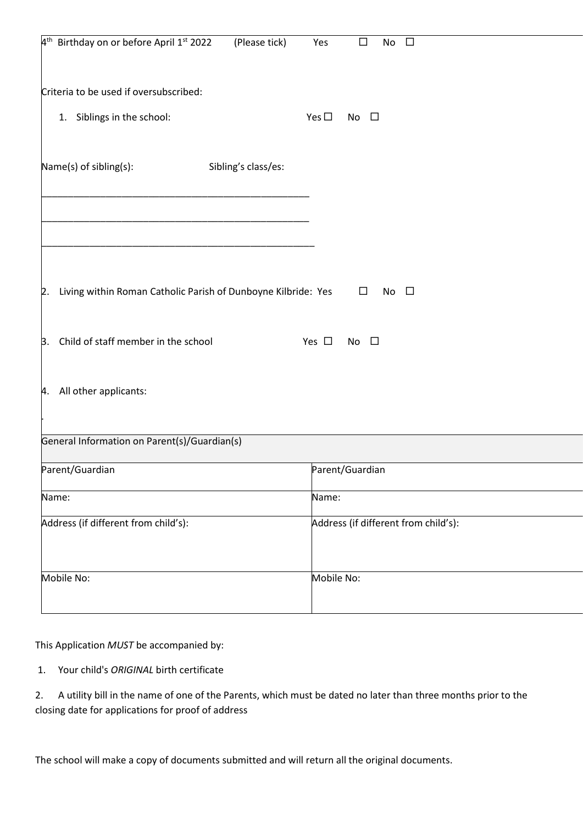| 4 <sup>th</sup> Birthday on or before April 1 <sup>st</sup> 2022     | (Please tick)       | Yes           | $\Box$          | No<br>$\Box$                         |  |
|----------------------------------------------------------------------|---------------------|---------------|-----------------|--------------------------------------|--|
| Criteria to be used if oversubscribed:                               |                     |               |                 |                                      |  |
| 1. Siblings in the school:                                           |                     | Yes $\square$ | No $\square$    |                                      |  |
| Name(s) of sibling(s):                                               | Sibling's class/es: |               |                 |                                      |  |
|                                                                      |                     |               |                 |                                      |  |
| Living within Roman Catholic Parish of Dunboyne Kilbride: Yes<br> 2. |                     |               | $\Box$          | No $\square$                         |  |
| Child of staff member in the school<br>3.                            |                     | Yes $\square$ | No $\square$    |                                      |  |
| All other applicants:<br>4.                                          |                     |               |                 |                                      |  |
| General Information on Parent(s)/Guardian(s)                         |                     |               |                 |                                      |  |
| Parent/Guardian                                                      |                     |               | Parent/Guardian |                                      |  |
| Name:                                                                |                     | Name:         |                 |                                      |  |
| Address (if different from child's):                                 |                     |               |                 | Address (if different from child's): |  |
| Mobile No:                                                           |                     | Mobile No:    |                 |                                      |  |

This Application *MUST* be accompanied by:

1. Your child's *ORIGINAL* birth certificate

| 2. A utility bill in the name of one of the Parents, which must be dated no later than three months prior to the |
|------------------------------------------------------------------------------------------------------------------|
| closing date for applications for proof of address                                                               |

The school will make a copy of documents submitted and will return all the original documents.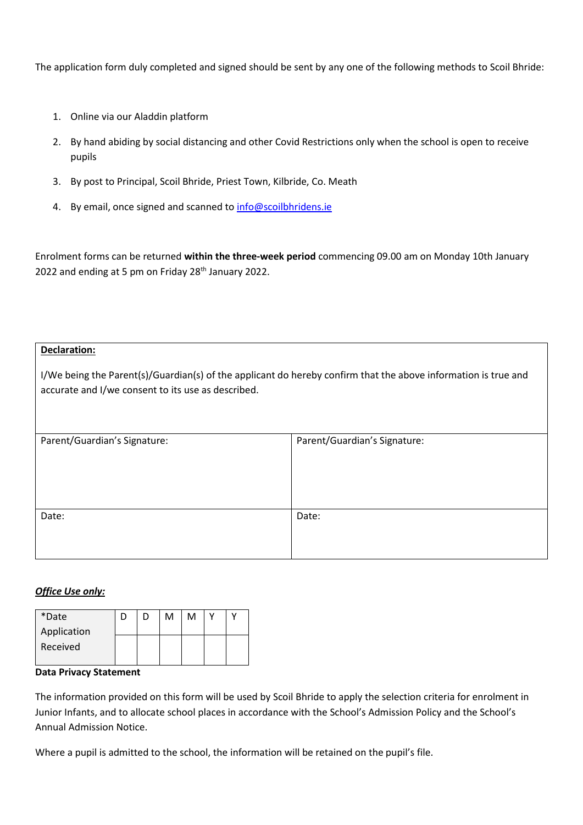The application form duly completed and signed should be sent by any one of the following methods to Scoil Bhride:

- 1. Online via our Aladdin platform
- 2. By hand abiding by social distancing and other Covid Restrictions only when the school is open to receive pupils
- 3. By post to Principal, Scoil Bhride, Priest Town, Kilbride, Co. Meath
- 4. By email, once signed and scanned to [info@scoilbhridens.ie](mailto:info@scoilbhridens.ie)

Enrolment forms can be returned **within the three-week period** commencing 09.00 am on Monday 10th January 2022 and ending at 5 pm on Friday 28<sup>th</sup> January 2022.

## **Declaration:**

I/We being the Parent(s)/Guardian(s) of the applicant do hereby confirm that the above information is true and accurate and I/we consent to its use as described.

| Parent/Guardian's Signature: | Parent/Guardian's Signature: |
|------------------------------|------------------------------|
|                              |                              |
|                              |                              |
| Date:                        | Date:                        |
|                              |                              |

## *Office Use only:*

| *Date       |  | м | M |  |
|-------------|--|---|---|--|
| Application |  |   |   |  |
| Received    |  |   |   |  |
|             |  |   |   |  |

## **Data Privacy Statement**

The information provided on this form will be used by Scoil Bhride to apply the selection criteria for enrolment in Junior Infants, and to allocate school places in accordance with the School's Admission Policy and the School's Annual Admission Notice.

Where a pupil is admitted to the school, the information will be retained on the pupil's file.